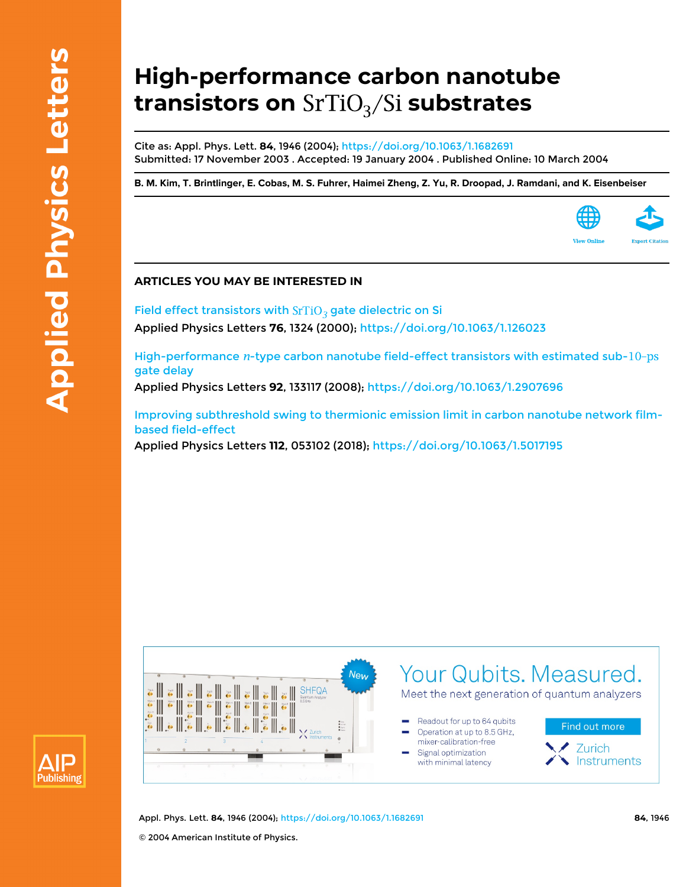## **High-performance carbon nanotube transistors on** SrTiO<sub>3</sub>/Si substrates

Cite as: Appl. Phys. Lett. **84**, 1946 (2004);<https://doi.org/10.1063/1.1682691> Submitted: 17 November 2003 . Accepted: 19 January 2004 . Published Online: 10 March 2004

[B. M. Kim,](https://aip.scitation.org/author/Kim%2C+B+M) [T. Brintlinger](https://aip.scitation.org/author/Brintlinger%2C+T), [E. Cobas](https://aip.scitation.org/author/Cobas%2C+E), [M. S. Fuhrer](https://aip.scitation.org/author/Fuhrer%2C+M+S), [Haimei Zheng,](https://aip.scitation.org/author/Zheng%2C+Haimei) [Z. Yu](https://aip.scitation.org/author/Yu%2C+Z), [R. Droopad,](https://aip.scitation.org/author/Droopad%2C+R) [J. Ramdani,](https://aip.scitation.org/author/Ramdani%2C+J) and [K. Eisenbeiser](https://aip.scitation.org/author/Eisenbeiser%2C+K)



Field effect transistors with  $SrTiO<sub>3</sub>$  gate dielectric on Si Applied Physics Letters **76**, 1324 (2000);<https://doi.org/10.1063/1.126023>

High-performance  $n$ -type carbon nanotube field-effect transistors with estimated sub- $10$ -ps [gate delay](https://aip.scitation.org/doi/10.1063/1.2907696)

Applied Physics Letters **92**, 133117 (2008);<https://doi.org/10.1063/1.2907696>

[Improving subthreshold swing to thermionic emission limit in carbon nanotube network film](https://aip.scitation.org/doi/10.1063/1.5017195)[based field-effect](https://aip.scitation.org/doi/10.1063/1.5017195)

Applied Physics Letters **112**, 053102 (2018); <https://doi.org/10.1063/1.5017195>





Appl. Phys. Lett. **84**, 1946 (2004); <https://doi.org/10.1063/1.1682691> **84**, 1946 © 2004 American Institute of Physics.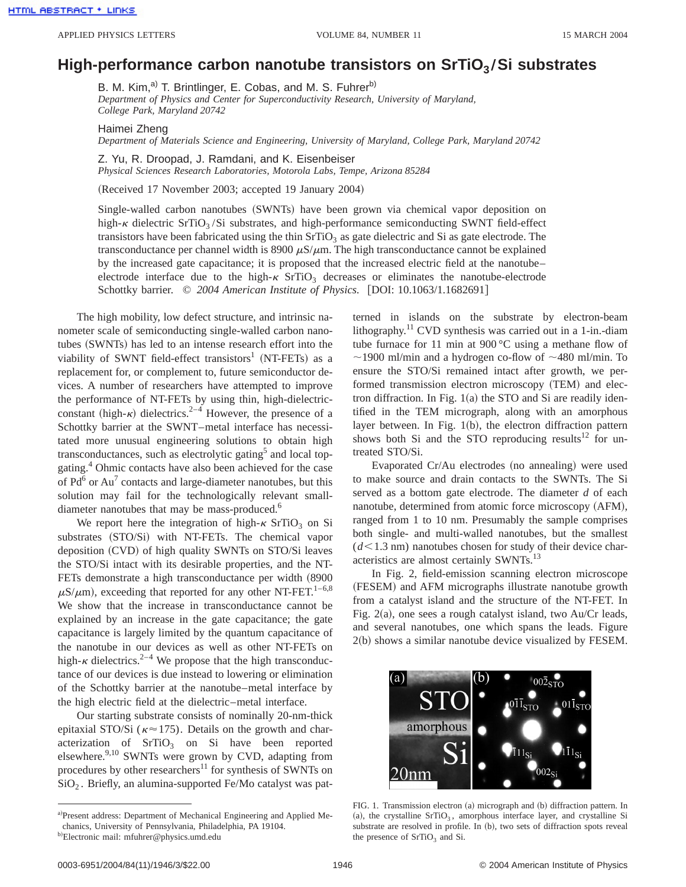## **High-performance carbon nanotube transistors on SrTiO<sub>3</sub>/Si substrates**

B. M. Kim,<sup>a)</sup> T. Brintlinger, E. Cobas, and M. S. Fuhrer<sup>b)</sup> *Department of Physics and Center for Superconductivity Research, University of Maryland, College Park, Maryland 20742*

Haimei Zheng

*Department of Materials Science and Engineering, University of Maryland, College Park, Maryland 20742*

Z. Yu, R. Droopad, J. Ramdani, and K. Eisenbeiser *Physical Sciences Research Laboratories, Motorola Labs, Tempe, Arizona 85284*

(Received 17 November 2003; accepted 19 January 2004)

Single-walled carbon nanotubes (SWNTs) have been grown via chemical vapor deposition on high- $\kappa$  dielectric SrTiO<sub>3</sub>/Si substrates, and high-performance semiconducting SWNT field-effect transistors have been fabricated using the thin  $SrTiO<sub>3</sub>$  as gate dielectric and Si as gate electrode. The transconductance per channel width is 8900  $\mu$ S/ $\mu$ m. The high transconductance cannot be explained by the increased gate capacitance; it is proposed that the increased electric field at the nanotube– electrode interface due to the high- $\kappa$  SrTiO<sub>3</sub> decreases or eliminates the nanotube-electrode Schottky barrier.  $\odot$  2004 American Institute of Physics. [DOI: 10.1063/1.1682691]

The high mobility, low defect structure, and intrinsic nanometer scale of semiconducting single-walled carbon nanotubes (SWNTs) has led to an intense research effort into the viability of SWNT field-effect transistors<sup>1</sup> (NT-FETs) as a replacement for, or complement to, future semiconductor devices. A number of researchers have attempted to improve the performance of NT-FETs by using thin, high-dielectricconstant (high- $\kappa$ ) dielectrics.<sup>2–4</sup> However, the presence of a Schottky barrier at the SWNT–metal interface has necessitated more unusual engineering solutions to obtain high transconductances, such as electrolytic gating<sup>5</sup> and local topgating.4 Ohmic contacts have also been achieved for the case of  $Pd^6$  or  $Au^7$  contacts and large-diameter nanotubes, but this solution may fail for the technologically relevant smalldiameter nanotubes that may be mass-produced.<sup>6</sup>

We report here the integration of high- $\kappa$  SrTiO<sub>3</sub> on Si substrates (STO/Si) with NT-FETs. The chemical vapor deposition (CVD) of high quality SWNTs on STO/Si leaves the STO/Si intact with its desirable properties, and the NT-FETs demonstrate a high transconductance per width (8900  $\mu$ S/ $\mu$ m), exceeding that reported for any other NT-FET.<sup>1–6,8</sup> We show that the increase in transconductance cannot be explained by an increase in the gate capacitance; the gate capacitance is largely limited by the quantum capacitance of the nanotube in our devices as well as other NT-FETs on high- $\kappa$  dielectrics.<sup>2–4</sup> We propose that the high transconductance of our devices is due instead to lowering or elimination of the Schottky barrier at the nanotube–metal interface by the high electric field at the dielectric–metal interface.

Our starting substrate consists of nominally 20-nm-thick epitaxial STO/Si ( $\kappa \approx 175$ ). Details on the growth and characterization of  $SrTiO<sub>3</sub>$  on Si have been reported elsewhere.<sup>9,10</sup> SWNTs were grown by CVD, adapting from procedures by other researchers $^{11}$  for synthesis of SWNTs on  $SiO<sub>2</sub>$ . Briefly, an alumina-supported Fe/Mo catalyst was patterned in islands on the substrate by electron-beam lithography.<sup>11</sup> CVD synthesis was carried out in a 1-in.-diam tube furnace for 11 min at 900 °C using a methane flow of  $\sim$ 1900 ml/min and a hydrogen co-flow of  $\sim$ 480 ml/min. To ensure the STO/Si remained intact after growth, we performed transmission electron microscopy (TEM) and electron diffraction. In Fig.  $1(a)$  the STO and Si are readily identified in the TEM micrograph, along with an amorphous layer between. In Fig.  $1(b)$ , the electron diffraction pattern shows both Si and the STO reproducing results $^{12}$  for untreated STO/Si.

Evaporated Cr/Au electrodes (no annealing) were used to make source and drain contacts to the SWNTs. The Si served as a bottom gate electrode. The diameter *d* of each nanotube, determined from atomic force microscopy (AFM), ranged from 1 to 10 nm. Presumably the sample comprises both single- and multi-walled nanotubes, but the smallest  $(d<1.3$  nm) nanotubes chosen for study of their device characteristics are almost certainly SWNTs.<sup>13</sup>

In Fig. 2, field-emission scanning electron microscope (FESEM) and AFM micrographs illustrate nanotube growth from a catalyst island and the structure of the NT-FET. In Fig.  $2(a)$ , one sees a rough catalyst island, two Au/Cr leads, and several nanotubes, one which spans the leads. Figure  $2(b)$  shows a similar nanotube device visualized by FESEM.



FIG. 1. Transmission electron (a) micrograph and (b) diffraction pattern. In (a), the crystalline  $SrTiO<sub>3</sub>$ , amorphous interface layer, and crystalline Si substrate are resolved in profile. In (b), two sets of diffraction spots reveal the presence of SrTiO<sub>3</sub> and Si.

a)Present address: Department of Mechanical Engineering and Applied Mechanics, University of Pennsylvania, Philadelphia, PA 19104.

b)Electronic mail: mfuhrer@physics.umd.edu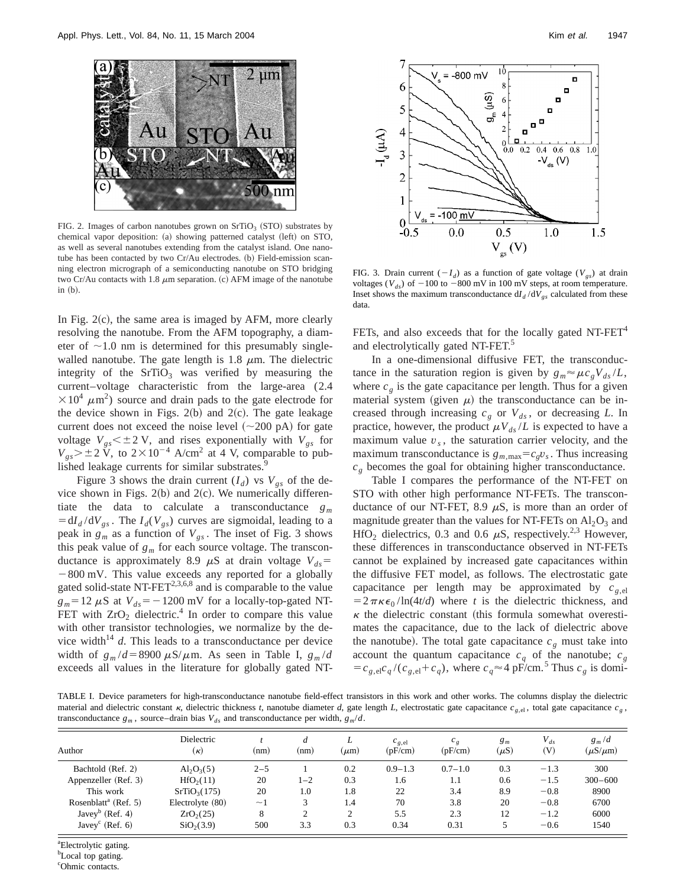

FIG. 2. Images of carbon nanotubes grown on  $SrTiO<sub>3</sub>$  (STO) substrates by chemical vapor deposition: (a) showing patterned catalyst (left) on STO, as well as several nanotubes extending from the catalyst island. One nanotube has been contacted by two  $Cr/Au$  electrodes. (b) Field-emission scanning electron micrograph of a semiconducting nanotube on STO bridging two Cr/Au contacts with 1.8  $\mu$ m separation. (c) AFM image of the nanotube  $in (b)$ .

In Fig.  $2(c)$ , the same area is imaged by AFM, more clearly resolving the nanotube. From the AFM topography, a diameter of  $\sim$ 1.0 nm is determined for this presumably singlewalled nanotube. The gate length is 1.8  $\mu$ m. The dielectric integrity of the  $SrTiO<sub>3</sub>$  was verified by measuring the current–voltage characteristic from the large-area (2.4  $\times 10^4 \ \mu \text{m}^2$ ) source and drain pads to the gate electrode for the device shown in Figs.  $2(b)$  and  $2(c)$ . The gate leakage current does not exceed the noise level  $(\sim 200 \text{ pA})$  for gate voltage  $V_{gs}$  < ± 2 V, and rises exponentially with  $V_{gs}$  for  $V_{gs}$   $> \pm 2 \text{ V}$ , to  $2 \times 10^{-4}$  A/cm<sup>2</sup> at 4 V, comparable to published leakage currents for similar substrates.<sup>9</sup>

Figure 3 shows the drain current  $(I_d)$  vs  $V_{gs}$  of the device shown in Figs.  $2(b)$  and  $2(c)$ . We numerically differentiate the data to calculate a transconductance *gm*  $= dI_d/dV_{gs}$ . The  $I_d(V_{gs})$  curves are sigmoidal, leading to a peak in  $g_m$  as a function of  $V_{gs}$ . The inset of Fig. 3 shows this peak value of  $g_m$  for each source voltage. The transconductance is approximately 8.9  $\mu$ S at drain voltage  $V_{ds}$ =  $-800$  mV. This value exceeds any reported for a globally gated solid-state NT- $FET^{2,3,6,8}$  and is comparable to the value  $g_m$ =12  $\mu$ S at  $V_{ds}$ = -1200 mV for a locally-top-gated NT-FET with  $ZrO<sub>2</sub>$  dielectric.<sup>4</sup> In order to compare this value with other transistor technologies, we normalize by the device width<sup>14</sup>  $d$ . This leads to a transconductance per device width of  $g_m/d = 8900 \mu\text{S/m}$ . As seen in Table I,  $g_m/d$ exceeds all values in the literature for globally gated NT-



FIG. 3. Drain current  $(-I_d)$  as a function of gate voltage ( $V_{gs}$ ) at drain voltages ( $V_{ds}$ ) of  $-100$  to  $-800$  mV in 100 mV steps, at room temperature. Inset shows the maximum transconductance  $dI_d/dV_{gs}$  calculated from these data.

FETs, and also exceeds that for the locally gated  $NT-FET<sup>4</sup>$ and electrolytically gated NT-FET.<sup>5</sup>

In a one-dimensional diffusive FET, the transconductance in the saturation region is given by  $g_m \approx \mu c_g V_{ds}/L$ , where  $c_g$  is the gate capacitance per length. Thus for a given material system (given  $\mu$ ) the transconductance can be increased through increasing  $c_g$  or  $V_{ds}$ , or decreasing *L*. In practice, however, the product  $\mu V_{ds}/L$  is expected to have a maximum value  $v<sub>s</sub>$ , the saturation carrier velocity, and the maximum transconductance is  $g_{m,\text{max}} = c_g v_s$ . Thus increasing  $c_g$  becomes the goal for obtaining higher transconductance.

Table I compares the performance of the NT-FET on STO with other high performance NT-FETs. The transconductance of our NT-FET, 8.9  $\mu$ S, is more than an order of magnitude greater than the values for NT-FETs on  $Al_2O_3$  and HfO<sub>2</sub> dielectrics, 0.3 and 0.6  $\mu$ S, respectively.<sup>2,3</sup> However, these differences in transconductance observed in NT-FETs cannot be explained by increased gate capacitances within the diffusive FET model, as follows. The electrostatic gate capacitance per length may be approximated by  $c_{g,el}$  $=2\pi\kappa\epsilon_0/\ln(4t/d)$  where *t* is the dielectric thickness, and  $\kappa$  the dielectric constant (this formula somewhat overestimates the capacitance, due to the lack of dielectric above the nanotube). The total gate capacitance  $c<sub>g</sub>$  must take into account the quantum capacitance  $c_q$  of the nanotube;  $c_g$  $= c_{g,el}c_q/(c_{g,el}+c_q)$ , where  $c_q \approx 4$  pF/cm.<sup>5</sup> Thus  $c_g$  is domi-

TABLE I. Device parameters for high-transconductance nanotube field-effect transistors in this work and other works. The columns display the dielectric material and dielectric constant  $\kappa$ , dielectric thickness *t*, nanotube diameter *d*, gate length *L*, electrostatic gate capacitance  $c_g$ , total gate capacitance  $c_g$ , transconductance  $g_m$ , source–drain bias  $V_{ds}$  and transconductance per width,  $g_m/d$ .

| Author                           | Dielectric<br>$(\kappa)$ | (nm)     | d<br>(nm)      | L<br>$(\mu m)$ | $c_{g,el}$<br>(pF/cm) | $c_g$<br>(pF/cm) | $g_m$<br>$(\mu S)$ | $V_{ds}$<br>(V) | $g_m/d$<br>$(\mu S/\mu m)$ |
|----------------------------------|--------------------------|----------|----------------|----------------|-----------------------|------------------|--------------------|-----------------|----------------------------|
| Bachtold (Ref. 2)                | $Al_2O_3(5)$             | $2 - 5$  |                | 0.2            | $0.9 - 1.3$           | $0.7 - 1.0$      | 0.3                | $-1.3$          | 300                        |
| Appenzeller (Ref. 3)             | HfO <sub>2</sub> (11)    | 20       | $1 - 2$        | 0.3            | 1.6                   | 1.1              | 0.6                | $-1.5$          | $300 - 600$                |
| This work                        | SrTiO <sub>3</sub> (175) | 20       | 1.0            | 1.8            | 22                    | 3.4              | 8.9                | $-0.8$          | 8900                       |
| Rosenblatt <sup>a</sup> (Ref. 5) | Electrolyte (80)         | $\sim$ 1 | 3              | 1.4            | 70                    | 3.8              | 20                 | $-0.8$          | 6700                       |
| Javey <sup>b</sup> (Ref. 4)      | ZrO <sub>2</sub> (25)    | 8        | $\overline{2}$ | $\overline{2}$ | 5.5                   | 2.3              | 12                 | $-1.2$          | 6000                       |
| Javey <sup>c</sup> (Ref. 6)      | SiO <sub>2</sub> (3.9)   | 500      | 3.3            | 0.3            | 0.34                  | 0.31             | 5                  | $-0.6$          | 1540                       |

a Electrolytic gating.

<sup>b</sup>Local top gating.

<sup>c</sup>Ohmic contacts.